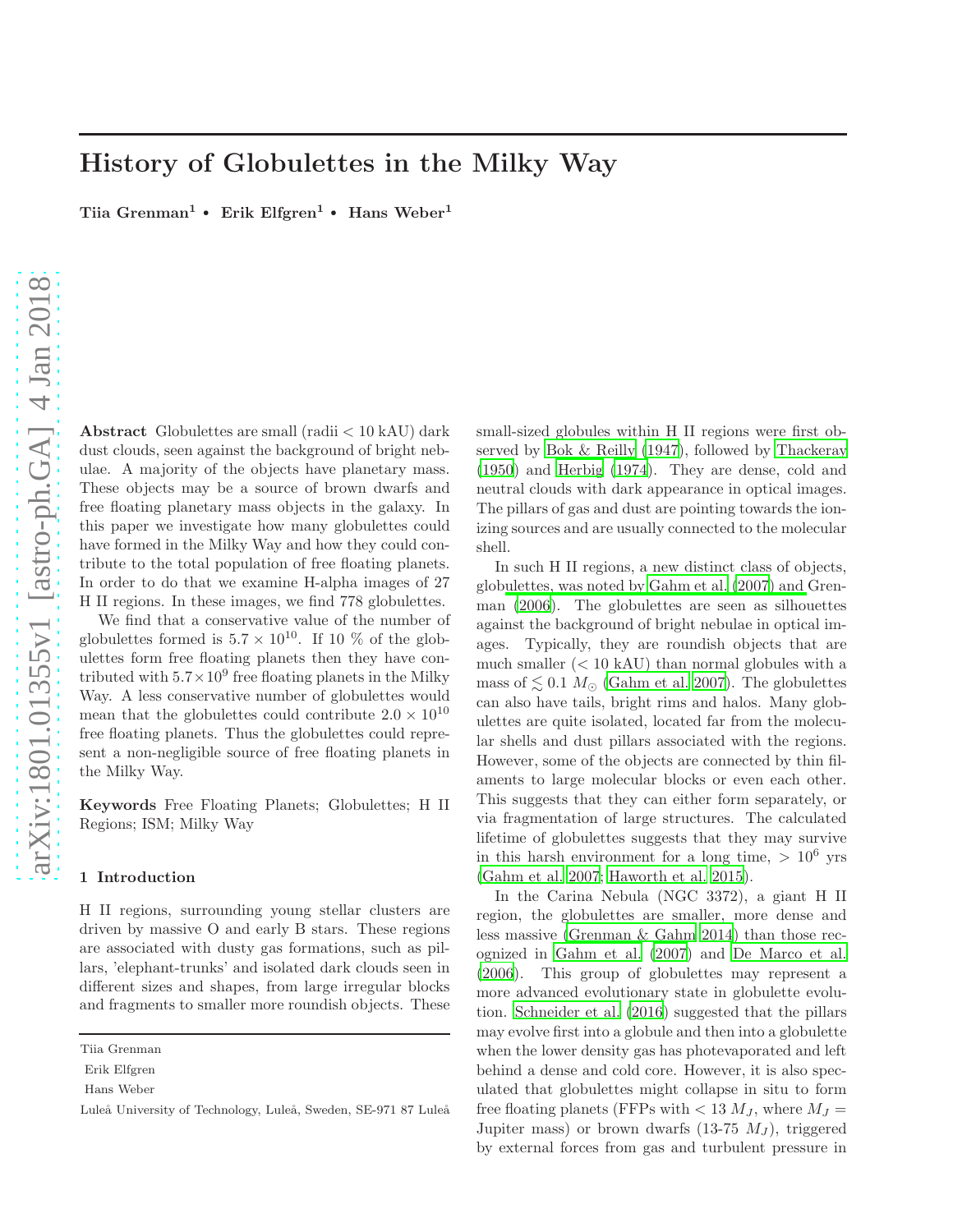# History of Globulettes in the Milky Way

Tiia Grenman<sup>1</sup> • Erik Elfgren<sup>1</sup> • Hans Weber<sup>1</sup>

Abstract Globulettes are small (radii < 10 kAU) dark dust clouds, seen against the background of bright nebulae. A majority of the objects have planetary mass. These objects may be a source of brown dwarfs and free floating planetary mass objects in the galaxy. In this paper we investigate how many globulettes could have formed in the Milky Way and how they could contribute to the total population of free floating planets. In order to do that we examine H-alpha images of 27 H II regions. In these images, we find 778 globulettes.

We find that a conservative value of the number of globulettes formed is  $5.7 \times 10^{10}$ . If 10 % of the globulettes form free floating planets then they have contributed with  $5.7 \times 10^9$  free floating planets in the Milky Way. A less conservative number of globulettes would mean that the globulettes could contribute  $2.0 \times 10^{10}$ free floating planets. Thus the globulettes could represent a non-negligible source of free floating planets in the Milky Way.

Keywords Free Floating Planets; Globulettes; H II Regions; ISM; Milky Way

#### <span id="page-0-0"></span>1 Introduction

H II regions, surrounding young stellar clusters are driven by massive O and early B stars. These regions are associated with dusty gas formations, such as pillars, 'elephant-trunks' and isolated dark clouds seen in different sizes and shapes, from large irregular blocks and fragments to smaller more roundish objects. These small-sized globules within H II regions were first observed by [Bok & Reilly \(1947](#page-9-0)), followed by [Thackeray](#page-10-0) [\(1950](#page-10-0)) and [Herbig \(1974](#page-9-1)). They are dense, cold and neutral clouds with dark appearance in optical images. The pillars of gas and dust are pointing towards the ionizing sources and are usually connected to the molecular shell.

In such H II regions, a new distinct class of objects, glob[ulettes, was noted by](#page-9-3) [Gahm et al. \(2007](#page-9-2)[\) and](#page-9-3) Grenman [\(2006\)](#page-9-3). The globulettes are seen as silhouettes against the background of bright nebulae in optical images. Typically, they are roundish objects that are much smaller  $(< 10$  kAU) than normal globules with a mass of  $\leq 0.1$   $M_{\odot}$  [\(Gahm et al. 2007](#page-9-2)). The globulettes can also have tails, bright rims and halos. Many globulettes are quite isolated, located far from the molecular shells and dust pillars associated with the regions. However, some of the objects are connected by thin filaments to large molecular blocks or even each other. This suggests that they can either form separately, or via fragmentation of large structures. The calculated lifetime of globulettes suggests that they may survive in this harsh environment for a long time,  $> 10^6$  yrs [\(Gahm et al. 2007;](#page-9-2) [Haworth et al. 2015\)](#page-9-4).

In the Carina Nebula (NGC 3372), a giant H II region, the globulettes are smaller, more dense and less massive [\(Grenman & Gahm 2014](#page-9-5)) than those recognized in [Gahm et al. \(2007](#page-9-2)) and [De Marco et al.](#page-9-6) [\(2006](#page-9-6)). This group of globulettes may represent a more advanced evolutionary state in globulette evolution. [Schneider et al. \(2016](#page-10-1)) suggested that the pillars may evolve first into a globule and then into a globulette when the lower density gas has photevaporated and left behind a dense and cold core. However, it is also speculated that globulettes might collapse in situ to form free floating planets (FFPs with  $< 13 M_J$ , where  $M_J =$ Jupiter mass) or brown dwarfs  $(13-75 M_J)$ , triggered by external forces from gas and turbulent pressure in

Tiia Grenman

Erik Elfgren

Hans Weber

Luleå University of Technology, Luleå, Sweden, SE-971 87 Luleå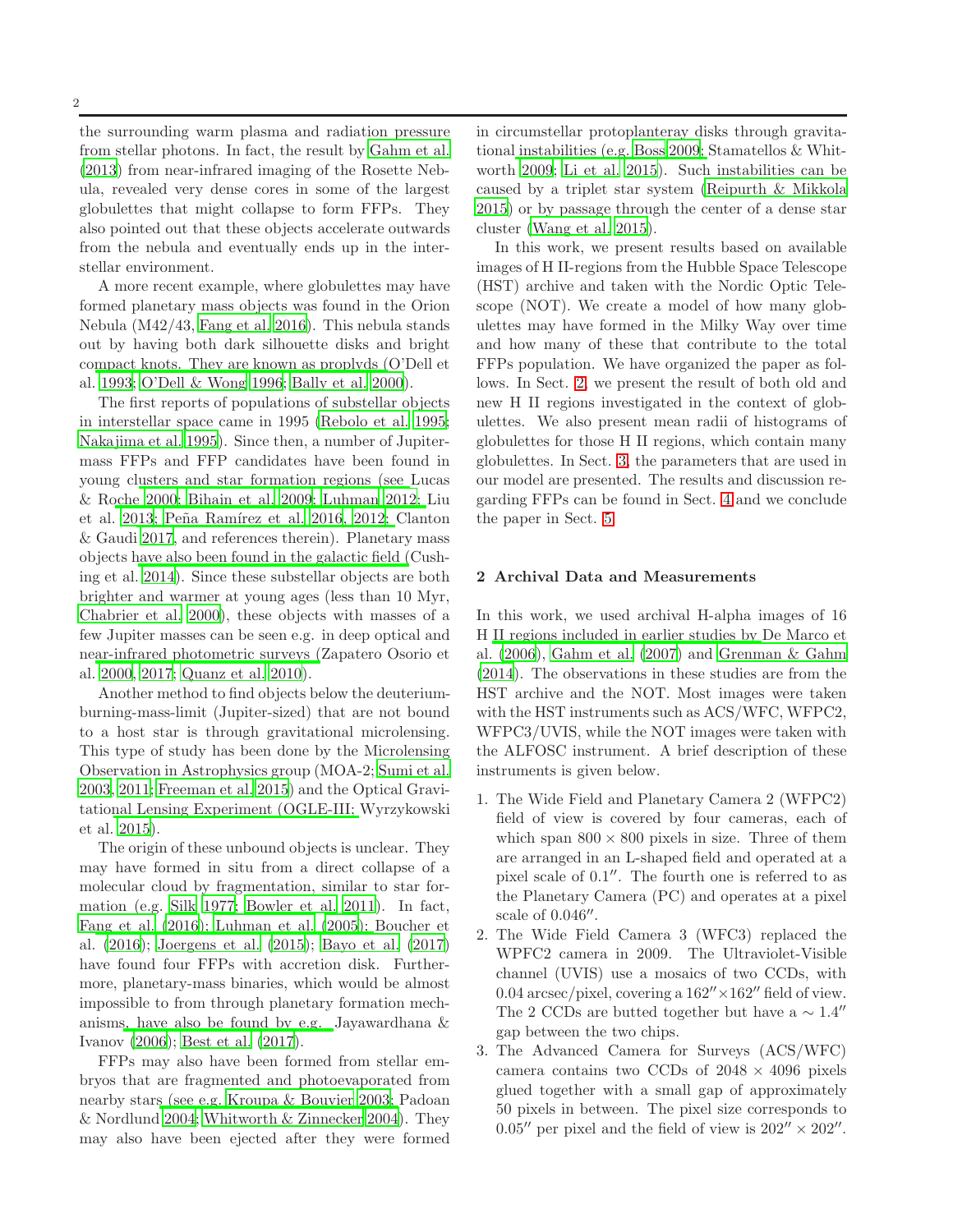the surrounding warm plasma and radiation pressure from stellar photons. In fact, the result by [Gahm et al.](#page-9-7) [\(2013](#page-9-7)) from near-infrared imaging of the Rosette Nebula, revealed very dense cores in some of the largest globulettes that might collapse to form FFPs. They also pointed out that these objects accelerate outwards from the nebula and eventually ends up in the interstellar environment.

A more recent example, where globulettes may have formed planetary mass objects was found in the Orion Nebula (M42/43, [Fang et al. 2016\)](#page-9-8). This nebula stands out by having both dark silhouette disks and bright co[mpact knots. They are known as proplyds \(](#page-10-2)O'Dell et al. [1993](#page-10-2); [O'Dell & Wong 1996;](#page-10-3) [Bally et al. 2000](#page-9-9)).

The first reports of populations of substellar objects in interstellar space came in 1995 [\(Rebolo et al. 1995;](#page-10-4) [Nakajima et al. 1995\)](#page-9-10). Since then, a number of Jupitermass FFPs and FFP candidates have been found in young cl[usters and star formation regions \(see](#page-9-11) Lucas & R[oche](#page-9-14) [2000](#page-9-11)[;](#page-9-14) [Bihain et al. 2009](#page-9-12)[;](#page-9-14) [Luhman 2012](#page-9-13)[;](#page-9-14) Liu et al. [2013](#page-9-14)[;](#page-9-15) Peña Ramírez et al. 2016[,](#page-9-15) [2012;](#page-10-6) Clanton & Gaudi [2017](#page-9-15), and references therein). Planetary mass objects [have also been found in the galactic field \(](#page-9-16)Cushing et al. [2014](#page-9-16)). Since these substellar objects are both brighter and warmer at young ages (less than 10 Myr, [Chabrier et al. 2000](#page-9-17)), these objects with masses of a few Jupiter masses can be seen e.g. in deep optical and ne[ar-infrared photometric surveys \(](#page-10-7)Zapatero Osorio et al. [2000](#page-10-7), [2017;](#page-10-8) [Quanz et al. 2010](#page-10-9)).

Another method to find objects below the deuteriumburning-mass-limit (Jupiter-sized) that are not bound to a host star is through gravitational microlensing. This type of study has been done by the Microlensing Observation in Astrophysics group (MOA-2; [Sumi et al.](#page-10-10) [2003](#page-10-10), [2011](#page-10-11); [Freeman et al. 2015\)](#page-9-18) and the Optical Gravitatio[nal Lensing Experiment \(OGLE-III;](#page-10-12) Wyrzykowski et al. [2015\)](#page-10-12).

The origin of these unbound objects is unclear. They may have formed in situ from a direct collapse of a molecular cloud by fragmentation, similar to star formation (e.g. [Silk 1977;](#page-10-13) [Bowler et al. 2011](#page-9-19)). In fact, [Fang et al. \(2016](#page-9-8)[\);](#page-9-21) [Luhman et al. \(2005](#page-9-20)[\);](#page-9-21) Boucher et al. [\(2016](#page-9-21)); [Joergens et al. \(2015\)](#page-9-22); [Bayo et al. \(2017](#page-9-23)) have found four FFPs with accretion disk. Furthermore, planetary-mass binaries, which would be almost impossible to from through planetary formation mechanisms, have also be found by e.g. Jayawardhana & Ivanov [\(2006](#page-9-24)); [Best et al. \(2017\)](#page-9-25).

FFPs may also have been formed from stellar embryos that are fragmented and photoevaporated from nearby star[s \(see e.g.](#page-10-14) [Kroupa & Bouvier 2003](#page-9-26)[;](#page-10-14) Padoan & Nordlund [2004;](#page-10-14) [Whitworth & Zinnecker 2004](#page-10-15)). They may also have been ejected after they were formed in circumstellar protoplanteray disks through gravitationa[l instabilities \(e.g.](#page-10-16) [Boss 2009](#page-9-27)[;](#page-10-16) Stamatellos & Whitworth [2009;](#page-10-16) [Li et al. 2015\)](#page-9-28). Such instabilities can be caused by a triplet star system [\(Reipurth & Mikkola](#page-10-17) [2015](#page-10-17)) or by passage through the center of a dense star cluster [\(Wang et al. 2015\)](#page-10-18).

In this work, we present results based on available images of H II-regions from the Hubble Space Telescope (HST) archive and taken with the Nordic Optic Telescope (NOT). We create a model of how many globulettes may have formed in the Milky Way over time and how many of these that contribute to the total FFPs population. We have organized the paper as follows. In Sect. [2,](#page-1-0) we present the result of both old and new H II regions investigated in the context of globulettes. We also present mean radii of histograms of globulettes for those H II regions, which contain many globulettes. In Sect. [3,](#page-4-0) the parameters that are used in our model are presented. The results and discussion regarding FFPs can be found in Sect. [4](#page-6-0) and we conclude the paper in Sect. [5.](#page-8-0)

#### <span id="page-1-0"></span>2 Archival Data and Measurements

In this work, we used archival H-alpha images of 16 H [II regions included in earlier studies by](#page-9-6) De Marco et al. [\(2006](#page-9-6)), [Gahm et al. \(2007\)](#page-9-2) and [Grenman & Gahm](#page-9-5) [\(2014](#page-9-5)). The observations in these studies are from the HST archive and the NOT. Most images were taken with the HST instruments such as ACS/WFC, WFPC2, WFPC3/UVIS, while the NOT images were taken with the ALFOSC instrument. A brief description of these instruments is given below.

- 1. The Wide Field and Planetary Camera 2 (WFPC2) field of view is covered by four cameras, each of which span  $800 \times 800$  pixels in size. Three of them are arranged in an L-shaped field and operated at a pixel scale of  $0.1''$ . The fourth one is referred to as the Planetary Camera (PC) and operates at a pixel scale of 0.046".
- 2. The Wide Field Camera 3 (WFC3) replaced the WPFC2 camera in 2009. The Ultraviolet-Visible channel (UVIS) use a mosaics of two CCDs, with 0.04 arcsec/pixel, covering a  $162'' \times 162''$  field of view. The 2 CCDs are butted together but have a  $\sim 1.4''$ gap between the two chips.
- 3. The Advanced Camera for Surveys (ACS/WFC) camera contains two CCDs of  $2048 \times 4096$  pixels glued together with a small gap of approximately 50 pixels in between. The pixel size corresponds to 0.05'' per pixel and the field of view is  $202'' \times 202''$ .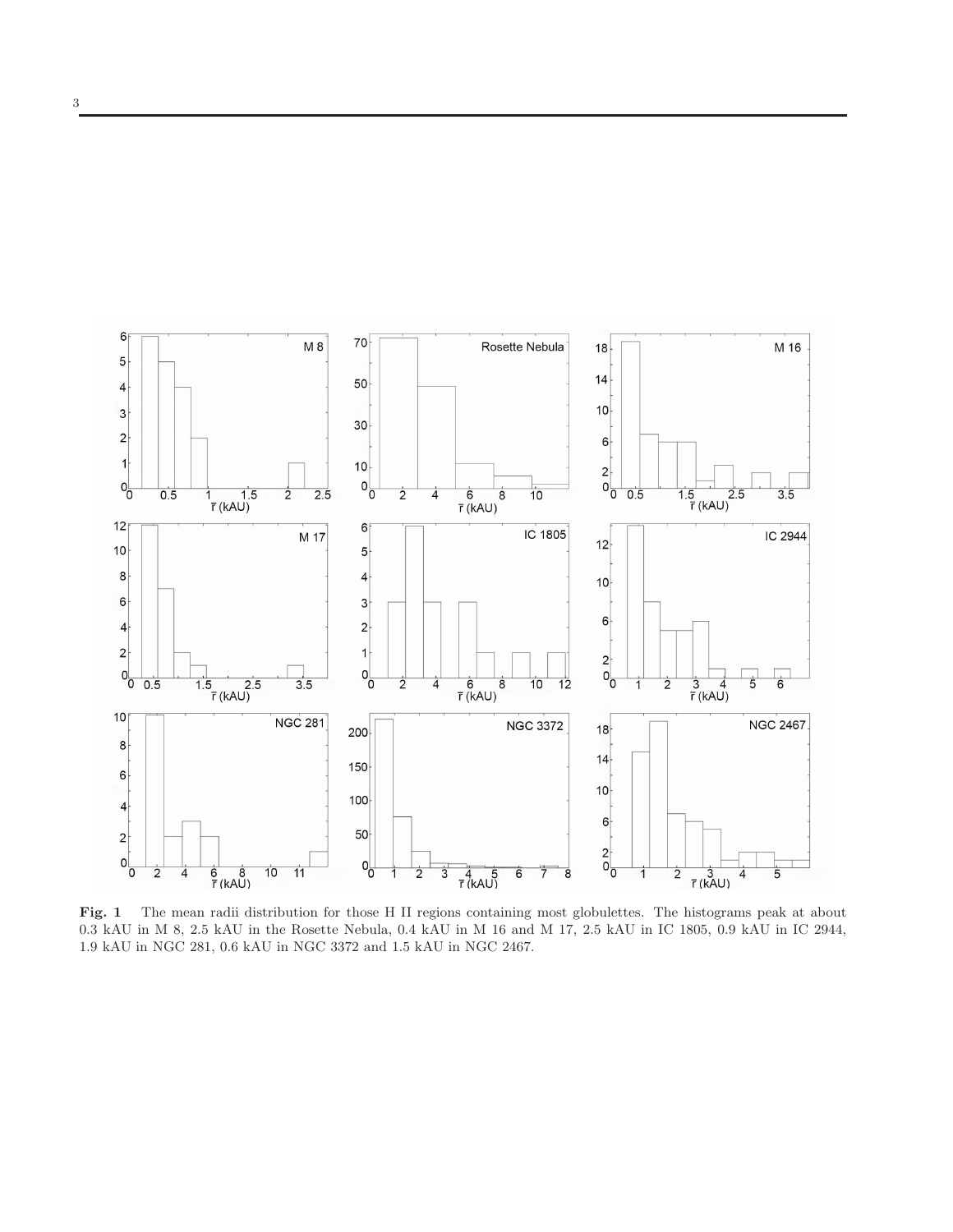

<span id="page-2-0"></span>Fig. 1 The mean radii distribution for those H II regions containing most globulettes. The histograms peak at about 0.3 kAU in M 8, 2.5 kAU in the Rosette Nebula, 0.4 kAU in M 16 and M 17, 2.5 kAU in IC 1805, 0.9 kAU in IC 2944, 1.9 kAU in NGC 281, 0.6 kAU in NGC 3372 and 1.5 kAU in NGC 2467.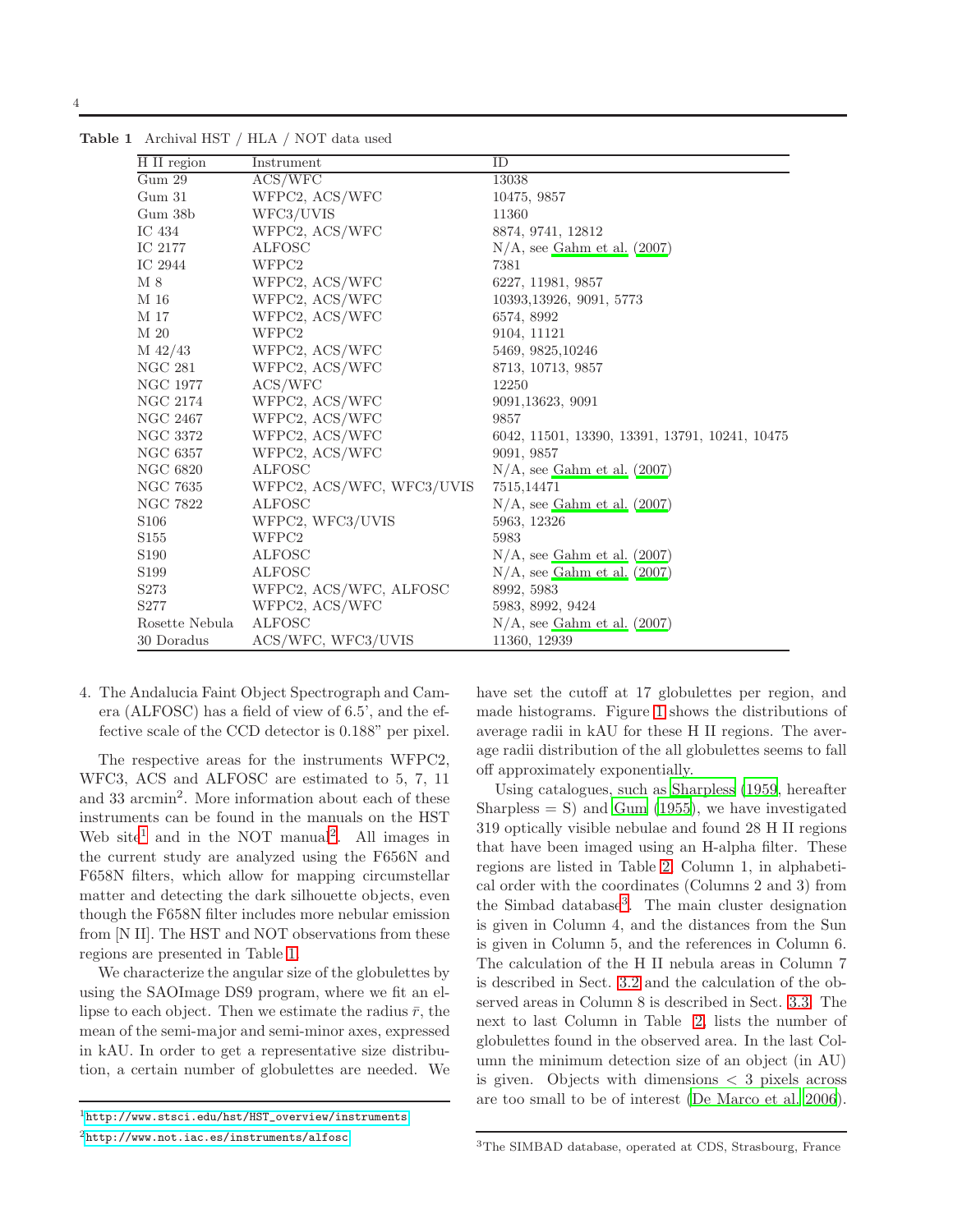<span id="page-3-2"></span>

| H II region      | Instrument                | ID                                             |
|------------------|---------------------------|------------------------------------------------|
| Gum 29           | ACS/WFC                   | 13038                                          |
| Gum 31           | WFPC2, ACS/WFC            | 10475, 9857                                    |
| Gum 38b          | WFC3/UVIS                 | 11360                                          |
| IC 434           | WFPC2, ACS/WFC            | 8874, 9741, 12812                              |
| IC 2177          | <b>ALFOSC</b>             | $N/A$ , see Gahm et al. (2007)                 |
| $\cal IC$ 2944   | WFPC2                     | 7381                                           |
| M 8              | WFPC2, ACS/WFC            | 6227, 11981, 9857                              |
| M 16             | WFPC2, ACS/WFC            | 10393, 13926, 9091, 5773                       |
| M 17             | WFPC2, ACS/WFC            | 6574, 8992                                     |
| M 20             | WFPC2                     | 9104, 11121                                    |
| $M\;42/43$       | WFPC2, ACS/WFC            | 5469, 9825, 10246                              |
| NGC 281          | WFPC2, ACS/WFC            | 8713, 10713, 9857                              |
| NGC 1977         | ACS / WFC                 | 12250                                          |
| NGC 2174         | WFPC2, ACS/WFC            | 9091,13623, 9091                               |
| NGC 2467         | WFPC2, ACS/WFC            | 9857                                           |
| NGC 3372         | WFPC2, ACS/WFC            | 6042, 11501, 13390, 13391, 13791, 10241, 10475 |
| NGC 6357         | WFPC2, ACS/WFC            | 9091, 9857                                     |
| NGC 6820         | <b>ALFOSC</b>             | $N/A$ , see Gahm et al. $(2007)$               |
| NGC 7635         | WFPC2, ACS/WFC, WFC3/UVIS | 7515,14471                                     |
| NGC 7822         | <b>ALFOSC</b>             | $N/A$ , see Gahm et al. $(2007)$               |
| S <sub>106</sub> | WFPC2, WFC3/UVIS          | 5963, 12326                                    |
| S155             | WFPC2                     | 5983                                           |
| S <sub>190</sub> | <b>ALFOSC</b>             | $N/A$ , see Gahm et al. $(2007)$               |
| S <sub>199</sub> | <b>ALFOSC</b>             | $N/A$ , see Gahm et al. $(2007)$               |
| S <sub>273</sub> | WFPC2, ACS/WFC, ALFOSC    | 8992, 5983                                     |
| S277             | WFPC2, ACS/WFC            | 5983, 8992, 9424                               |
| Rosette Nebula   | <b>ALFOSC</b>             | $N/A$ , see Gahm et al. $(2007)$               |
| 30 Doradus       | ACS/WFC, WFC3/UVIS        | 11360, 12939                                   |

Table 1 Archival HST / HLA / NOT data used

4

4. The Andalucia Faint Object Spectrograph and Camera (ALFOSC) has a field of view of 6.5', and the effective scale of the CCD detector is 0.188" per pixel.

The respective areas for the instruments WFPC2, WFC3, ACS and ALFOSC are estimated to 5, 7, 11 and 33 arcmin<sup>2</sup> . More information about each of these instruments can be found in the manuals on the HST Web site<sup>[1](#page-3-0)</sup> and in the NOT manual<sup>[2](#page-3-1)</sup>. All images in the current study are analyzed using the F656N and F658N filters, which allow for mapping circumstellar matter and detecting the dark silhouette objects, even though the F658N filter includes more nebular emission from [N II]. The HST and NOT observations from these regions are presented in Table [1.](#page-3-2)

We characterize the angular size of the globulettes by using the SAOImage DS9 program, where we fit an ellipse to each object. Then we estimate the radius  $\bar{r}$ , the mean of the semi-major and semi-minor axes, expressed in kAU. In order to get a representative size distribution, a certain number of globulettes are needed. We have set the cutoff at 17 globulettes per region, and made histograms. Figure [1](#page-2-0) shows the distributions of average radii in kAU for these H II regions. The average radii distribution of the all globulettes seems to fall off approximately exponentially.

<span id="page-3-3"></span>Using catalogues, such as [Sharpless \(1959,](#page-10-19) hereafter Sharpless  $= S$ ) and [Gum \(1955\)](#page-9-29), we have investigated 319 optically visible nebulae and found 28 H II regions that have been imaged using an H-alpha filter. These regions are listed in Table [2,](#page-4-1) Column 1, in alphabetical order with the coordinates (Columns 2 and 3) from the Simbad database[3](#page-3-3) . The main cluster designation is given in Column 4, and the distances from the Sun is given in Column 5, and the references in Column 6. The calculation of the H II nebula areas in Column 7 is described in Sect. [3.2](#page-5-0) and the calculation of the observed areas in Column 8 is described in Sect. [3.3.](#page-5-1) The next to last Column in Table [2,](#page-4-1) lists the number of globulettes found in the observed area. In the last Column the minimum detection size of an object (in AU) is given. Objects with dimensions  $\langle 3 \rangle$  pixels across are too small to be of interest [\(De Marco et al. 2006\)](#page-9-6).

<span id="page-3-1"></span><span id="page-3-0"></span><sup>1</sup>[http://www.stsci.edu/hst/HST\\_overview/instruments](http://www.stsci.edu/hst/HST_overview/instruments) <sup>2</sup><http://www.not.iac.es/instruments/alfosc>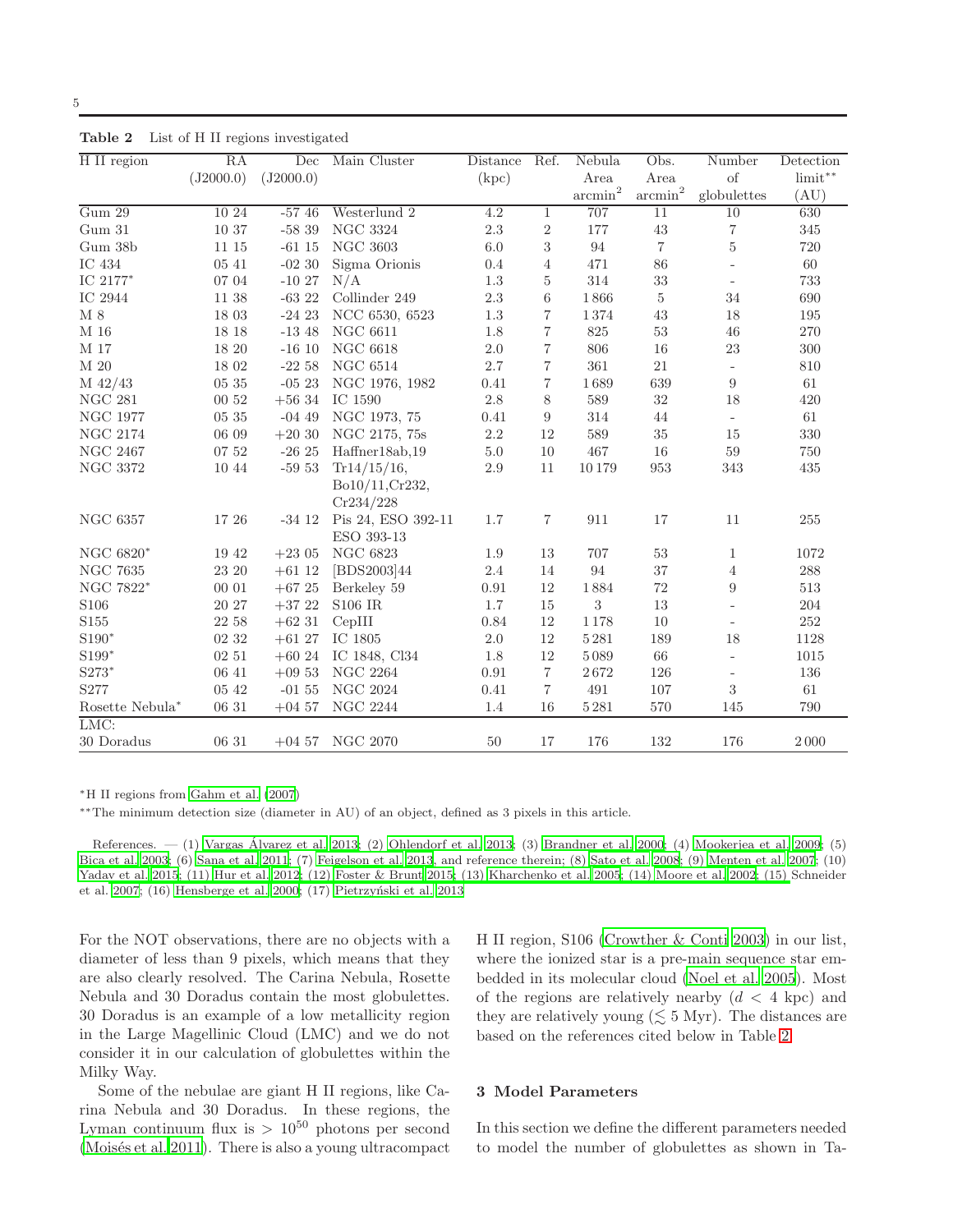| H II region         | RA        | Dec       | Main Cluster                     | Distance | Ref.           | $\overline{\text{N}}$ ebula | Obs.                  | Number                   | Detection          |
|---------------------|-----------|-----------|----------------------------------|----------|----------------|-----------------------------|-----------------------|--------------------------|--------------------|
|                     | (J2000.0) | (J2000.0) |                                  | (kpc)    |                | Area                        | Area                  | of                       | $limit**$          |
|                     |           |           |                                  |          |                | $\sum_{n=1}^{\infty}$       | $\sum_{n=1}^{\infty}$ | globulettes              | (AU)               |
| Gum 29              | 10 24     | $-5746$   | Westerlund 2                     | 4.2      | $\mathbf{1}$   | 707                         | 11                    | 10                       | 630                |
| Gum 31              | 10 37     | $-5839$   | <b>NGC 3324</b>                  | 2.3      | $\overline{2}$ | 177                         | $43\,$                | $\,7$                    | 345                |
| Gum 38b             | 11 15     | $-6115$   | <b>NGC 3603</b>                  | 6.0      | 3              | 94                          | $\overline{7}$        | $\bf 5$                  | 720                |
| IC 434              | 05 41     | $-0230$   | Sigma Orionis                    | 0.4      | $\overline{4}$ | 471                         | 86                    | $\overline{\phantom{a}}$ | $60\,$             |
| IC $2177^{\ast}$    | 07 04     | $-1027$   | N/A                              | 1.3      | 5              | 314                         | 33                    | $\bar{a}$                | 733                |
| IC 2944             | $11\ 38$  | $-6322$   | Collinder 249                    | $2.3\,$  | 6              | 1866                        | $\overline{5}$        | 34                       | 690                |
| $\mathbf{M}$ 8      | 18 03     | $-2423$   | NCC 6530, 6523                   | 1.3      | $\overline{7}$ | 1374                        | 43                    | 18                       | $195\,$            |
| M 16                | 18 18     | $-1348$   | <b>NGC 6611</b>                  | 1.8      | $\overline{7}$ | 825                         | $53\,$                | 46                       | 270                |
| M 17                | 18 20     | $-1610$   | <b>NGC 6618</b>                  | 2.0      | $\overline{7}$ | 806                         | 16                    | 23                       | $300\,$            |
| M 20                | 18 02     | $-22.58$  | NGC $6514$                       | $2.7\,$  | $\overline{7}$ | 361                         | 21                    | $\equiv$                 | $810\,$            |
| $M$ 42/43           | 05 35     | $-0523$   | NGC 1976, 1982                   | 0.41     | $\overline{7}$ | 1689                        | 639                   | 9                        | 61                 |
| <b>NGC 281</b>      | 00 52     | $+5634$   | IC 1590                          | $2.8\,$  | 8              | 589                         | $32\,$                | 18                       | 420                |
| <b>NGC 1977</b>     | 05 35     | $-0449$   | NGC 1973, 75                     | 0.41     | 9              | 314                         | 44                    | $\equiv$                 | $61\,$             |
| <b>NGC 2174</b>     | 06 09     | $+2030$   | NGC 2175, 75s                    | $2.2\,$  | 12             | 589                         | $35\,$                | 15                       | 330                |
| <b>NGC 2467</b>     | 07 52     | $-2625$   | Haffner18ab,19                   | 5.0      | 10             | 467                         | 16                    | 59                       | 750                |
| <b>NGC 3372</b>     | 10 44     | $-5953$   | Tr14/15/16,                      | 2.9      | 11             | 10179                       | 953                   | 343                      | 435                |
|                     |           |           | Bo10/11, Cr232,                  |          |                |                             |                       |                          |                    |
|                     |           |           | Cr234/228                        |          |                |                             |                       |                          |                    |
| <b>NGC 6357</b>     | 17 26     | $-3412$   | Pis 24, ESO 392-11               | 1.7      | $\overline{7}$ | 911                         | 17                    | 11                       | 255                |
|                     |           |           | ESO 393-13                       |          |                |                             |                       |                          |                    |
| NGC $6820^*$        | $19\ 42$  | $+2305$   | <b>NGC 6823</b>                  | 1.9      | 13             | 707                         | $53\,$                | $\mathbf{1}$             | 1072               |
| <b>NGC 7635</b>     | 23 20     | $+61$ 12  | [BDS2003]44                      | 2.4      | 14             | 94                          | 37                    | $\overline{4}$           | $\boldsymbol{288}$ |
| NGC 7822*           | 00 01     | $+67\ 25$ | Berkeley 59                      | 0.91     | 12             | 1884                        | 72                    | 9                        | $513\,$            |
| S106                | 20 27     | $+37\ 22$ | <b>S106 IR</b>                   | 1.7      | 15             | $\boldsymbol{3}$            | 13                    | $\frac{1}{2}$            | $\,204$            |
| S155                | 22 58     | $+62$ 31  | CepIII                           | 0.84     | 12             | 1178                        | 10                    |                          | 252                |
| $S190*$             | 02 32     | $+6127$   | IC 1805                          | 2.0      | 12             | 5281                        | 189                   | 18                       | 1128               |
| $\mathrm{S}199^*$   | 02 51     | $+6024$   | IC 1848, Cl34                    | 1.8      | 12             | 5089                        | 66                    | $\overline{\phantom{a}}$ | 1015               |
| $\mathrm{S}273^{*}$ | 06 41     | $+0953$   | <b>NGC 2264</b>                  | 0.91     | $\overline{7}$ | $2\,672$                    | 126                   | $\bar{a}$                | 136                |
| S277                | 05 42     | $-0155$   | <b>NGC 2024</b>                  | 0.41     | $\overline{7}$ | 491                         | 107                   | 3                        | 61                 |
| Rosette Nebula*     | 06 31     | $+0457$   | <b>NGC 2244</b>                  | 1.4      | 16             | 5281                        | 570                   | 145                      | 790                |
| LMC:                |           |           |                                  |          |                |                             |                       |                          |                    |
| 30 Doradus          | 06 31     |           | $+04\;57\quad\mathrm{NGC}\;2070$ | 50       | 17             | 176                         | 132                   | 176                      | 2000               |

<span id="page-4-1"></span>Table 2 List of H II regions investigated

<sup>∗</sup>H II regions from [Gahm et al. \(2007\)](#page-9-2)

∗∗The minimum detection size (diameter in AU) of an object, defined as 3 pixels in this article.

References.  $-$  (1) Vargas Álvarez et al. 2013; (2) [Ohlendorf et al. 2013](#page-10-21); (3) [Brandner e](#page-9-30)t al. [2000;](#page-9-30) (4) [Mookerjea et al. 2009](#page-9-31); (5) [Bica et al. 2003](#page-9-32); (6) [Sana et al. 2011](#page-10-22); (7) [Feigelson et al. 2013](#page-9-33), and reference therein; (8) [Sato et al. 2008;](#page-10-23) (9) [Menten et al. 2007;](#page-9-34) (10) [Yadav et al. 2015](#page-10-24)[; \(11\)](#page-10-25) [Hur et al. 2012;](#page-9-35) [\(12\)](#page-10-25) [Foster & Brunt 2015](#page-9-36)[; \(13\)](#page-10-25) [Kharchenko et al. 2005](#page-9-37)[; \(14\)](#page-10-25) [Moore et al. 2002](#page-9-38)[; \(15\)](#page-10-25) Schneider et al. [2007;](#page-10-25) (16) [Hensberge et al. 2000](#page-9-39); (17) Pietrzyński et al. [2013](#page-10-26)

For the NOT observations, there are no objects with a diameter of less than 9 pixels, which means that they are also clearly resolved. The Carina Nebula, Rosette Nebula and 30 Doradus contain the most globulettes. 30 Doradus is an example of a low metallicity region in the Large Magellinic Cloud (LMC) and we do not consider it in our calculation of globulettes within the Milky Way.

Some of the nebulae are giant H II regions, like Carina Nebula and 30 Doradus. In these regions, the Lyman continuum flux is  $> 10^{50}$  photons per second (Moisés et al. 2011). There is also a young ultracompact H II region, S106 [\(Crowther & Conti 2003](#page-9-41)) in our list, where the ionized star is a pre-main sequence star embedded in its molecular cloud [\(Noel et al. 2005](#page-9-42)). Most of the regions are relatively nearby  $(d < 4$  kpc) and they are relatively young  $(\leq 5 \text{ Myr})$ . The distances are based on the references cited below in Table [2.](#page-4-1)

## <span id="page-4-0"></span>3 Model Parameters

In this section we define the different parameters needed to model the number of globulettes as shown in Ta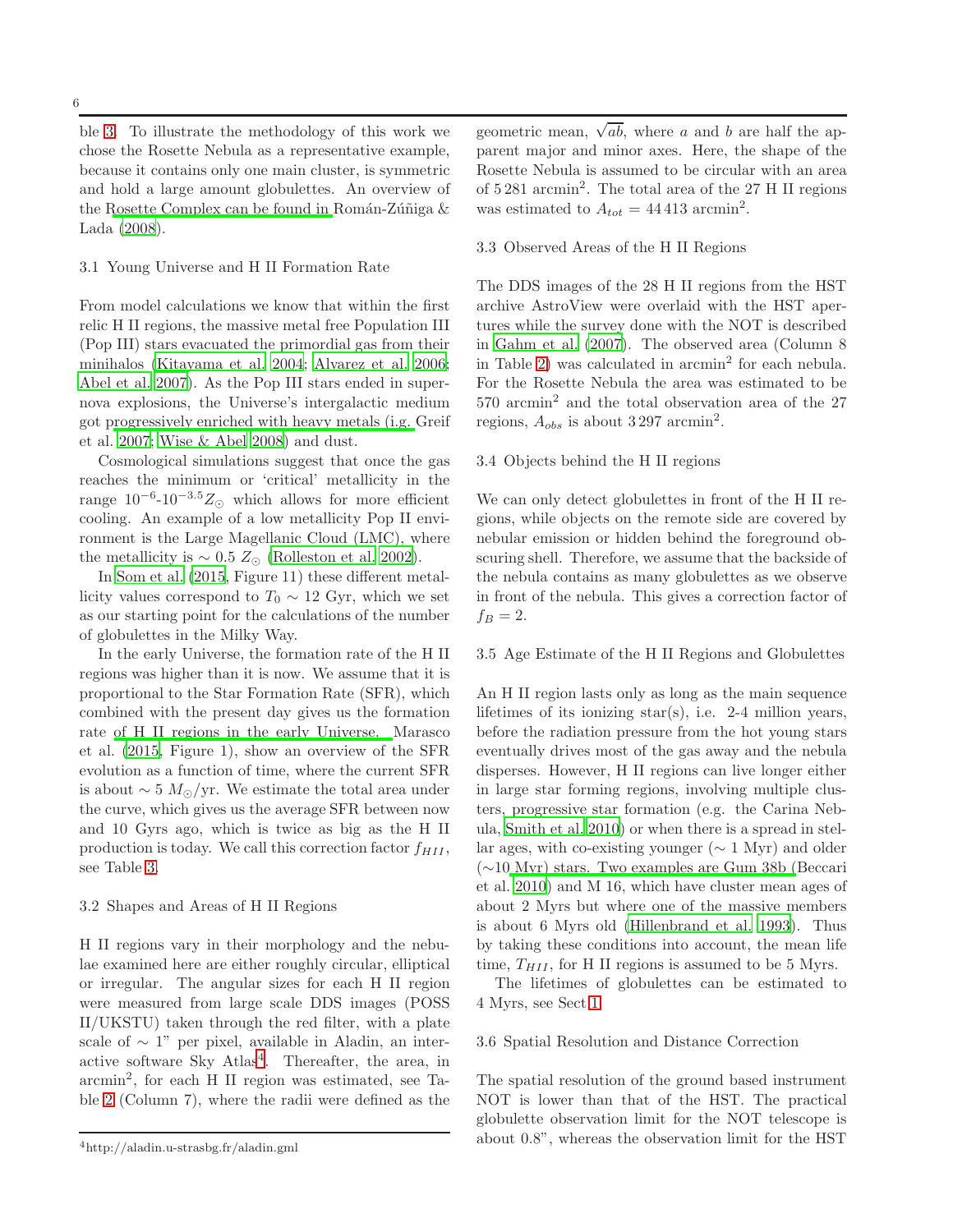ble [3.](#page-7-0) To illustrate the methodology of this work we chose the Rosette Nebula as a representative example, because it contains only one main cluster, is symmetric and hold a large amount globulettes. An overview of the [Rosette Complex can be found in](#page-10-27) Román-Zúñiga  $\&$ Lada [\(2008](#page-10-27)).

#### <span id="page-5-2"></span>3.1 Young Universe and H II Formation Rate

6

From model calculations we know that within the first relic H II regions, the massive metal free Population III (Pop III) stars evacuated the primordial gas from their minihalos [\(Kitayama et al. 2004](#page-9-43); [Alvarez et al. 2006;](#page-9-44) [Abel et al. 2007](#page-9-45)). As the Pop III stars ended in supernova explosions, the Universe's intergalactic medium got [progressively enriched with heavy metals \(i.g.](#page-9-46) Greif et al. [2007;](#page-9-46) [Wise & Abel 2008](#page-10-28)) and dust.

Cosmological simulations suggest that once the gas reaches the minimum or 'critical' metallicity in the range  $10^{-6}$ - $10^{-3.5}Z_{\odot}$  which allows for more efficient cooling. An example of a low metallicity Pop II environment is the Large Magellanic Cloud (LMC), where the metallicity is  $\sim 0.5 Z_{\odot}$  [\(Rolleston et al. 2002\)](#page-10-29).

In [Som et al. \(2015,](#page-10-30) Figure 11) these different metallicity values correspond to  $T_0 \sim 12$  Gyr, which we set as our starting point for the calculations of the number of globulettes in the Milky Way.

In the early Universe, the formation rate of the H II regions was higher than it is now. We assume that it is proportional to the Star Formation Rate (SFR), which combined with the present day gives us the formation rate [of H II regions in the early Universe.](#page-9-47) Marasco et al. [\(2015](#page-9-47), Figure 1), show an overview of the SFR evolution as a function of time, where the current SFR is about  $\sim 5 M_{\odot}/yr$ . We estimate the total area under the curve, which gives us the average SFR between now and 10 Gyrs ago, which is twice as big as the H II production is today. We call this correction factor  $f_{HII}$ , see Table [3.](#page-7-0)

## <span id="page-5-0"></span>3.2 Shapes and Areas of H II Regions

H II regions vary in their morphology and the nebulae examined here are either roughly circular, elliptical or irregular. The angular sizes for each H II region were measured from large scale DDS images (POSS II/UKSTU) taken through the red filter, with a plate scale of  $\sim 1$ " per pixel, available in Aladin, an inter-active software Sky Atlas<sup>[4](#page-10-31)</sup>. Thereafter, the area, in arcmin<sup>2</sup> , for each H II region was estimated, see Table [2](#page-4-1) (Column 7), where the radii were defined as the

geometric mean,  $\sqrt{ab}$ , where a and b are half the apparent major and minor axes. Here, the shape of the Rosette Nebula is assumed to be circular with an area of 5 281 arcmin<sup>2</sup> . The total area of the 27 H II regions was estimated to  $A_{tot} = 44413$  arcmin<sup>2</sup>.

#### <span id="page-5-1"></span>3.3 Observed Areas of the H II Regions

The DDS images of the 28 H II regions from the HST archive AstroView were overlaid with the HST apertures while the survey done with the NOT is described in [Gahm et al. \(2007](#page-9-2)). The observed area (Column 8 in Table [2\)](#page-4-1) was calculated in arcmin<sup>2</sup> for each nebula. For the Rosette Nebula the area was estimated to be 570 arcmin<sup>2</sup> and the total observation area of the 27 regions,  $A_{obs}$  is about 3297 arcmin<sup>2</sup>.

#### <span id="page-5-4"></span>3.4 Objects behind the H II regions

We can only detect globulettes in front of the H II regions, while objects on the remote side are covered by nebular emission or hidden behind the foreground obscuring shell. Therefore, we assume that the backside of the nebula contains as many globulettes as we observe in front of the nebula. This gives a correction factor of  $f_B = 2.$ 

#### <span id="page-5-3"></span>3.5 Age Estimate of the H II Regions and Globulettes

An H II region lasts only as long as the main sequence lifetimes of its ionizing star(s), i.e. 2-4 million years, before the radiation pressure from the hot young stars eventually drives most of the gas away and the nebula disperses. However, H II regions can live longer either in large star forming regions, involving multiple clusters, progressive star formation (e.g. the Carina Nebula, [Smith et al. 2010](#page-10-32)) or when there is a spread in stellar ages, with co-existing younger ( $\sim 1$  Myr) and older (∼10 [Myr\) stars. Two examples are Gum 38b \(](#page-9-48)Beccari et al. [2010](#page-9-48)) and M 16, which have cluster mean ages of about 2 Myrs but where one of the massive members is about 6 Myrs old [\(Hillenbrand et al. 1993\)](#page-9-49). Thus by taking these conditions into account, the mean life time,  $T_{HII}$ , for H II regions is assumed to be 5 Myrs.

The lifetimes of globulettes can be estimated to 4 Myrs, see Sect[.1.](#page-0-0)

### <span id="page-5-5"></span>3.6 Spatial Resolution and Distance Correction

The spatial resolution of the ground based instrument NOT is lower than that of the HST. The practical globulette observation limit for the NOT telescope is about 0.8", whereas the observation limit for the HST

<sup>4</sup>http://aladin.u-strasbg.fr/aladin.gml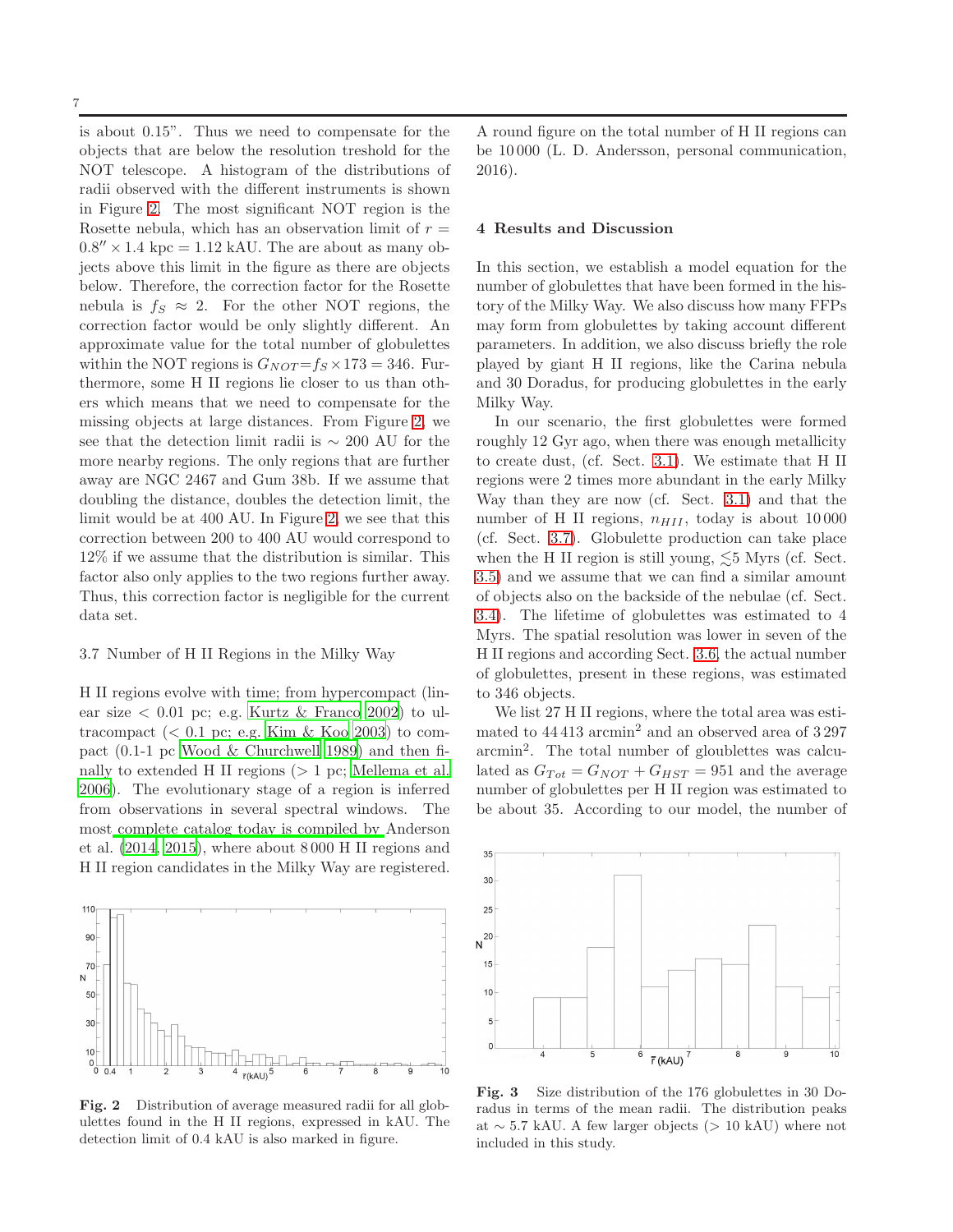is about 0.15". Thus we need to compensate for the objects that are below the resolution treshold for the NOT telescope. A histogram of the distributions of radii observed with the different instruments is shown in Figure [2.](#page-6-1) The most significant NOT region is the Rosette nebula, which has an observation limit of  $r =$  $0.8'' \times 1.4 \text{ kpc} = 1.12 \text{ kAU}$ . The are about as many objects above this limit in the figure as there are objects below. Therefore, the correction factor for the Rosette nebula is  $f_s \approx 2$ . For the other NOT regions, the correction factor would be only slightly different. An approximate value for the total number of globulettes within the NOT regions is  $G_{NOT} = f_S \times 173 = 346$ . Furthermore, some H II regions lie closer to us than others which means that we need to compensate for the missing objects at large distances. From Figure [2,](#page-6-1) we see that the detection limit radii is ∼ 200 AU for the more nearby regions. The only regions that are further away are NGC 2467 and Gum 38b. If we assume that doubling the distance, doubles the detection limit, the limit would be at 400 AU. In Figure [2,](#page-6-1) we see that this correction between 200 to 400 AU would correspond to 12% if we assume that the distribution is similar. This factor also only applies to the two regions further away. Thus, this correction factor is negligible for the current data set.

#### <span id="page-6-2"></span>3.7 Number of H II Regions in the Milky Way

H II regions evolve with time; from hypercompact (linear size  $\lt 0.01$  pc; e.g. [Kurtz & Franco 2002](#page-9-50)) to ultracompact  $( $0.1$  pc; e.g. [Kim & Koo 2003\)](#page-9-51) to com$ pact (0.1-1 pc [Wood & Churchwell 1989\)](#page-10-33) and then finally to extended H II regions  $(> 1 pc;$  [Mellema et al.](#page-9-52) [2006](#page-9-52)). The evolutionary stage of a region is inferred from observations in several spectral windows. The most [complete catalog today is compiled by](#page-9-53) Anderson et al. [\(2014](#page-9-53), [2015](#page-9-54)), where about 8 000 H II regions and H II region candidates in the Milky Way are registered.



<span id="page-6-1"></span>Fig. 2 Distribution of average measured radii for all globulettes found in the H II regions, expressed in kAU. The detection limit of 0.4 kAU is also marked in figure.

A round figure on the total number of H II regions can be 10 000 (L. D. Andersson, personal communication, 2016).

### <span id="page-6-0"></span>4 Results and Discussion

In this section, we establish a model equation for the number of globulettes that have been formed in the history of the Milky Way. We also discuss how many FFPs may form from globulettes by taking account different parameters. In addition, we also discuss briefly the role played by giant H II regions, like the Carina nebula and 30 Doradus, for producing globulettes in the early Milky Way.

In our scenario, the first globulettes were formed roughly 12 Gyr ago, when there was enough metallicity to create dust, (cf. Sect. [3.1\)](#page-5-2). We estimate that H II regions were 2 times more abundant in the early Milky Way than they are now (cf. Sect. [3.1\)](#page-5-2) and that the number of H II regions,  $n_{HII}$ , today is about 10000 (cf. Sect. [3.7\)](#page-6-2). Globulette production can take place when the H II region is still young,  $\lesssim$  5 Myrs (cf. Sect. [3.5\)](#page-5-3) and we assume that we can find a similar amount of objects also on the backside of the nebulae (cf. Sect. [3.4\)](#page-5-4). The lifetime of globulettes was estimated to 4 Myrs. The spatial resolution was lower in seven of the H II regions and according Sect. [3.6,](#page-5-5) the actual number of globulettes, present in these regions, was estimated to 346 objects.

We list 27 H II regions, where the total area was estimated to  $44413$  arcmin<sup>2</sup> and an observed area of  $3297$ arcmin<sup>2</sup> . The total number of gloublettes was calculated as  $G_{Tot} = G_{NOT} + G_{HST} = 951$  and the average number of globulettes per H II region was estimated to be about 35. According to our model, the number of



<span id="page-6-3"></span>Fig. 3 Size distribution of the 176 globulettes in 30 Doradus in terms of the mean radii. The distribution peaks at  $\sim$  5.7 kAU. A few larger objects (> 10 kAU) where not included in this study.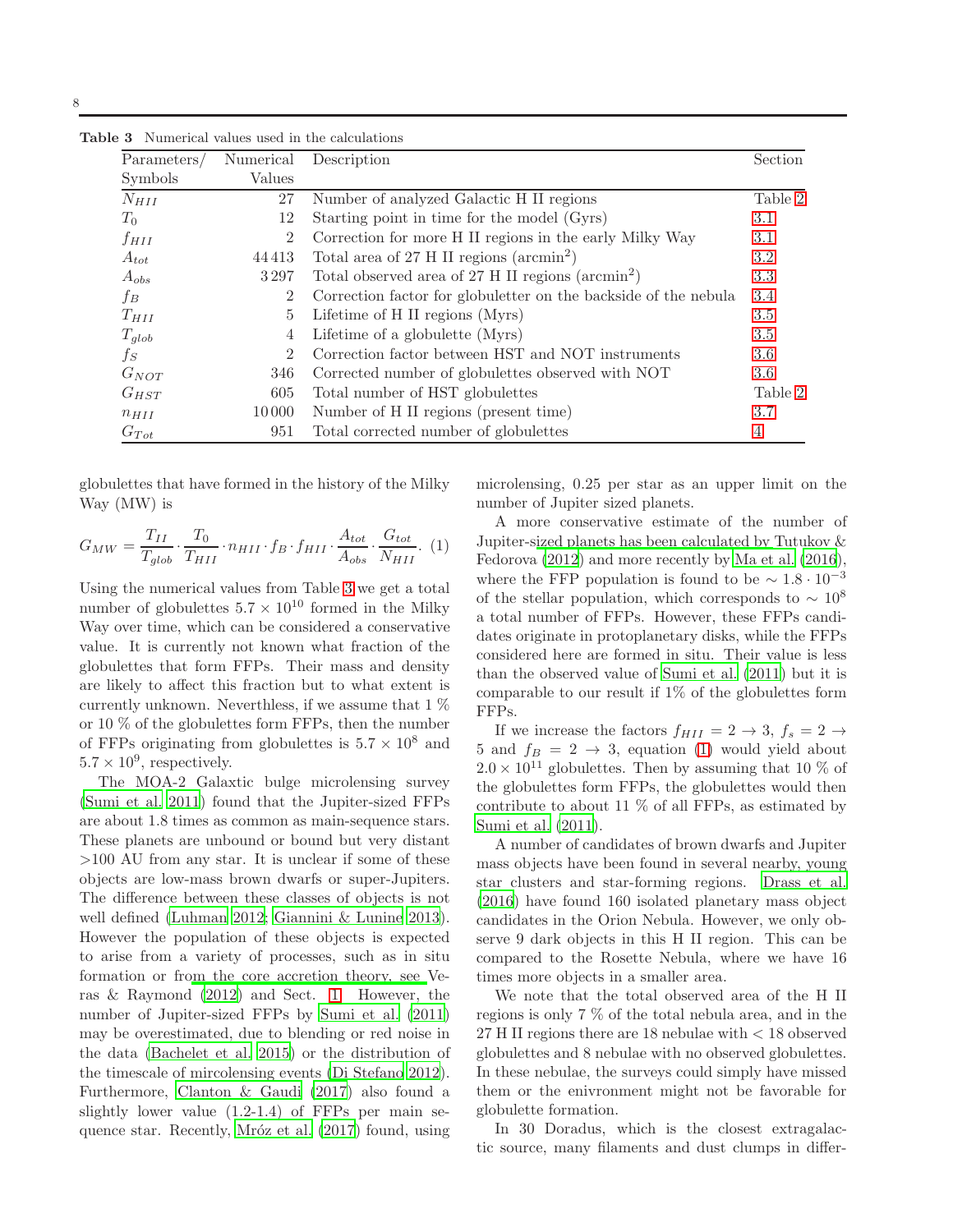<span id="page-7-0"></span>

| Parameters/ | Numerical      | Description                                                     | Section   |
|-------------|----------------|-----------------------------------------------------------------|-----------|
| Symbols     | Values         |                                                                 |           |
| $N_{HII}$   | 27             | Number of analyzed Galactic H II regions                        | Table $2$ |
| $T_0$       | 12             | Starting point in time for the model (Gyrs)                     | 3.1       |
| $f_{HII}$   | $\overline{2}$ | Correction for more H II regions in the early Milky Way         | 3.1       |
| $A_{tot}$   | 44413          | Total area of 27 H II regions ( $\arcsin^2$ )                   | 3.2       |
| $A_{obs}$   | 3297           | Total observed area of 27 H II regions $(\text{arcmin}^2)$      | 3.3       |
| $f_B$       | $\overline{2}$ | Correction factor for globuletter on the backside of the nebula | 3.4       |
| $T_{HII}$   | 5              | Lifetime of H II regions (Myrs)                                 | 3.5       |
| $T_{glob}$  | 4              | Lifetime of a globulette (Myrs)                                 | 3.5       |
| $f_S$       | $\overline{2}$ | Correction factor between HST and NOT instruments               | 3.6       |
| $G_{NOT}$   | 346            | Corrected number of globulettes observed with NOT               | 3.6       |
| $G_{HST}$   | 605            | Total number of HST globulettes                                 | Table 2   |
| $n_{HII}$   | 10000          | Number of H II regions (present time)                           | 3.7       |
| $G_{Tot}$   | 951            | Total corrected number of globulettes                           | 4         |

Table 3 Numerical values used in the calculations

<span id="page-7-1"></span>globulettes that have formed in the history of the Milky Way (MW) is

$$
G_{MW} = \frac{T_{II}}{T_{glob}} \cdot \frac{T_0}{T_{HII}} \cdot n_{HII} \cdot f_B \cdot f_{HII} \cdot \frac{A_{tot}}{A_{obs}} \cdot \frac{G_{tot}}{N_{HII}}. (1)
$$

Using the numerical values from Table [3](#page-7-0) we get a total number of globulettes  $5.7 \times 10^{10}$  formed in the Milky Way over time, which can be considered a conservative value. It is currently not known what fraction of the globulettes that form FFPs. Their mass and density are likely to affect this fraction but to what extent is currently unknown. Neverthless, if we assume that  $1\%$ or 10 % of the globulettes form FFPs, then the number of FFPs originating from globulettes is  $5.7 \times 10^8$  and  $5.7 \times 10^9$ , respectively.

The MOA-2 Galaxtic bulge microlensing survey [\(Sumi et al. 2011\)](#page-10-11) found that the Jupiter-sized FFPs are about 1.8 times as common as main-sequence stars. These planets are unbound or bound but very distant >100 AU from any star. It is unclear if some of these objects are low-mass brown dwarfs or super-Jupiters. The difference between these classes of objects is not well defined [\(Luhman 2012;](#page-9-13) [Giannini & Lunine 2013\)](#page-9-55). However the population of these objects is expected to arise from a variety of processes, such as in situ formation or fr[om the core accretion theory, see](#page-10-34) Veras & Raymond [\(2012](#page-10-34)) and Sect. [1.](#page-0-0) However, the number of Jupiter-sized FFPs by [Sumi et al. \(2011](#page-10-11)) may be overestimated, due to blending or red noise in the data [\(Bachelet et al. 2015](#page-9-56)) or the distribution of the timescale of mircolensing events [\(Di Stefano 2012\)](#page-9-57). Furthermore, [Clanton & Gaudi \(2017](#page-9-15)) also found a slightly lower value (1.2-1.4) of FFPs per main sequence star. Recently, Mróz et al. (2017) found, using microlensing, 0.25 per star as an upper limit on the number of Jupiter sized planets.

A more conservative estimate of the number of Jupiter-s[ized planets has been calculated by](#page-10-35) Tutukov & Fedorova [\(2012\)](#page-10-35) and more recently by [Ma et al. \(2016\)](#page-9-59), where the FFP population is found to be  $\sim 1.8 \cdot 10^{-3}$ of the stellar population, which corresponds to  $\sim 10^8$ a total number of FFPs. However, these FFPs candidates originate in protoplanetary disks, while the FFPs considered here are formed in situ. Their value is less than the observed value of [Sumi et al. \(2011](#page-10-11)) but it is comparable to our result if 1% of the globulettes form FFPs.

If we increase the factors  $f_{HII} = 2 \rightarrow 3, f_s = 2 \rightarrow$ 5 and  $f_B = 2 \rightarrow 3$ , equation [\(1\)](#page-7-1) would yield about  $2.0 \times 10^{11}$  globulettes. Then by assuming that 10 % of the globulettes form FFPs, the globulettes would then contribute to about 11 % of all FFPs, as estimated by [Sumi et al. \(2011\)](#page-10-11).

A number of candidates of brown dwarfs and Jupiter mass objects have been found in several nearby, young star clusters and star-forming regions. [Drass et al.](#page-9-60) [\(2016](#page-9-60)) have found 160 isolated planetary mass object candidates in the Orion Nebula. However, we only observe 9 dark objects in this H II region. This can be compared to the Rosette Nebula, where we have 16 times more objects in a smaller area.

We note that the total observed area of the H II regions is only 7 % of the total nebula area, and in the 27 H II regions there are 18 nebulae with < 18 observed globulettes and 8 nebulae with no observed globulettes. In these nebulae, the surveys could simply have missed them or the enivronment might not be favorable for globulette formation.

In 30 Doradus, which is the closest extragalactic source, many filaments and dust clumps in differ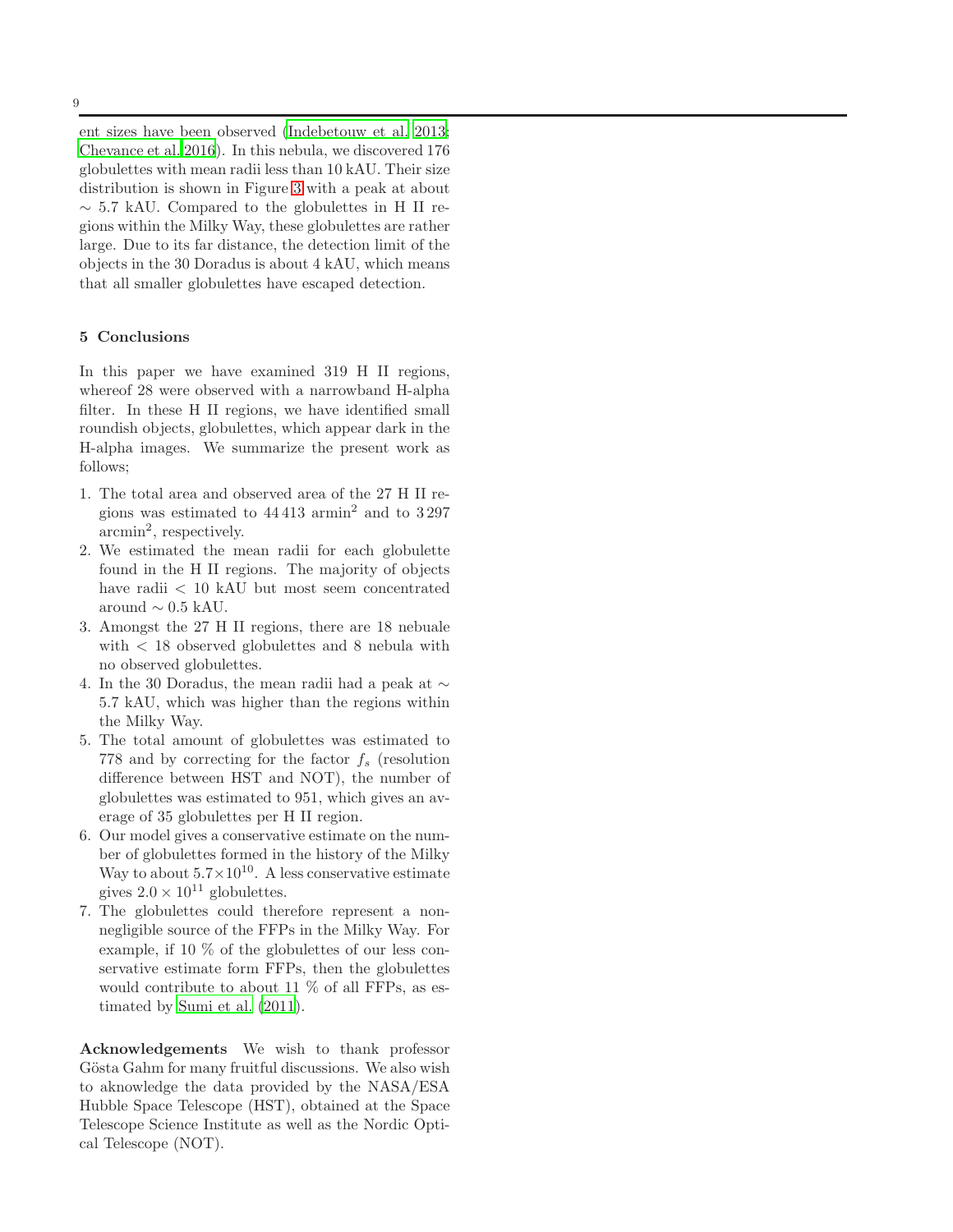ent sizes have been observed [\(Indebetouw et al. 2013;](#page-9-61) [Chevance et al. 2016](#page-9-62)). In this nebula, we discovered 176 globulettes with mean radii less than 10 kAU. Their size distribution is shown in Figure [3](#page-6-3) with a peak at about  $\sim$  5.7 kAU. Compared to the globulettes in H II regions within the Milky Way, these globulettes are rather large. Due to its far distance, the detection limit of the objects in the 30 Doradus is about 4 kAU, which means that all smaller globulettes have escaped detection.

#### <span id="page-8-0"></span>5 Conclusions

In this paper we have examined 319 H II regions, whereof 28 were observed with a narrowband H-alpha filter. In these H II regions, we have identified small roundish objects, globulettes, which appear dark in the H-alpha images. We summarize the present work as follows;

- 1. The total area and observed area of the 27 H II regions was estimated to  $44413$  armin<sup>2</sup> and to  $3297$ arcmin<sup>2</sup> , respectively.
- 2. We estimated the mean radii for each globulette found in the H II regions. The majority of objects have radii < 10 kAU but most seem concentrated around  $\sim$  0.5 kAU.
- 3. Amongst the 27 H II regions, there are 18 nebuale with < 18 observed globulettes and 8 nebula with no observed globulettes.
- 4. In the 30 Doradus, the mean radii had a peak at  $\sim$ 5.7 kAU, which was higher than the regions within the Milky Way.
- 5. The total amount of globulettes was estimated to 778 and by correcting for the factor  $f_s$  (resolution difference between HST and NOT), the number of globulettes was estimated to 951, which gives an average of 35 globulettes per H II region.
- 6. Our model gives a conservative estimate on the number of globulettes formed in the history of the Milky Way to about  $5.7 \times 10^{10}$ . A less conservative estimate gives  $2.0 \times 10^{11}$  globulettes.
- 7. The globulettes could therefore represent a nonnegligible source of the FFPs in the Milky Way. For example, if 10 % of the globulettes of our less conservative estimate form FFPs, then the globulettes would contribute to about 11 % of all FFPs, as estimated by [Sumi et al. \(2011\)](#page-10-11).

Acknowledgements We wish to thank professor Gösta Gahm for many fruitful discussions. We also wish to aknowledge the data provided by the NASA/ESA Hubble Space Telescope (HST), obtained at the Space Telescope Science Institute as well as the Nordic Optical Telescope (NOT).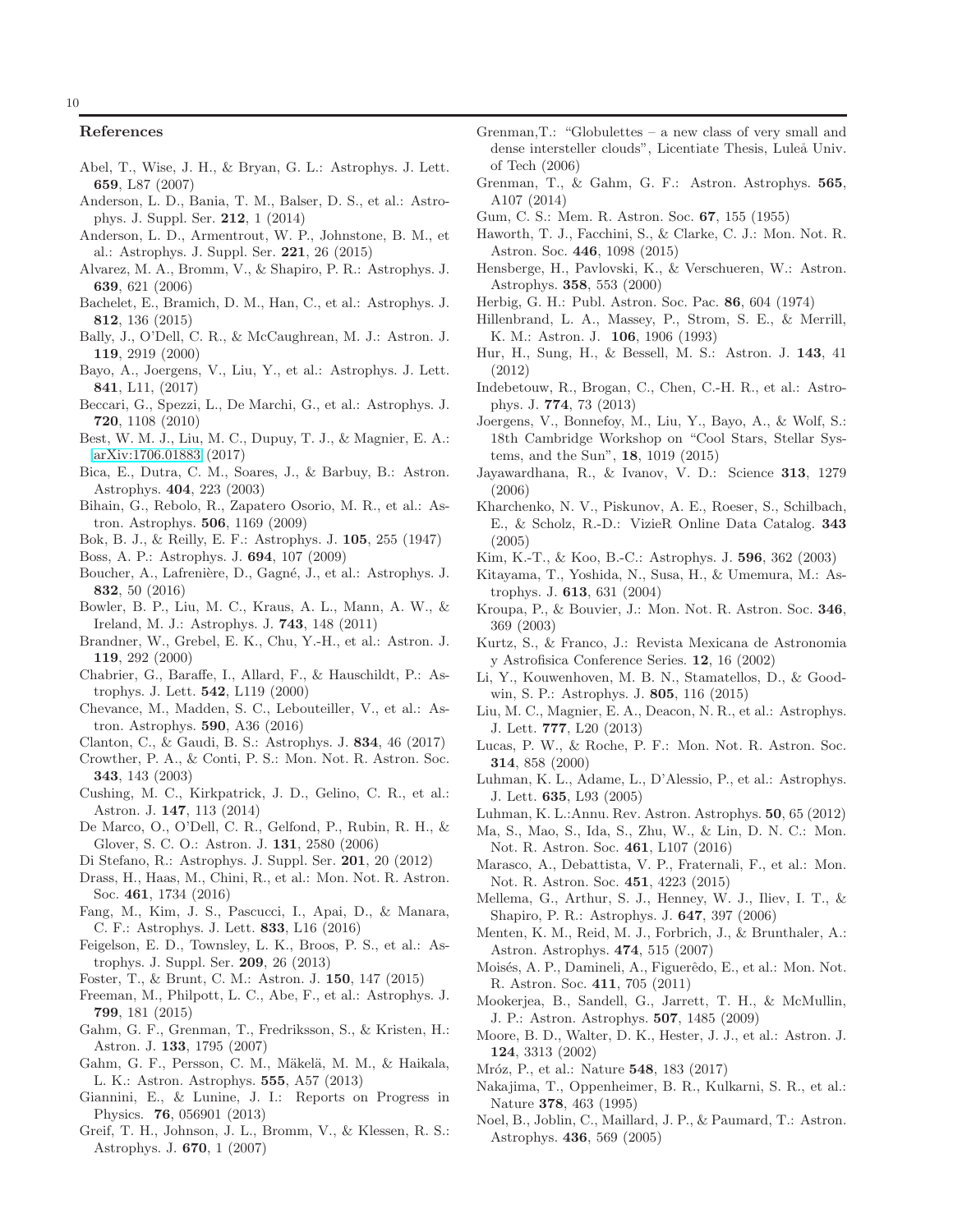#### References

- <span id="page-9-45"></span>Abel, T., Wise, J. H., & Bryan, G. L.: Astrophys. J. Lett. 659, L87 (2007)
- <span id="page-9-53"></span>Anderson, L. D., Bania, T. M., Balser, D. S., et al.: Astrophys. J. Suppl. Ser. 212, 1 (2014)
- <span id="page-9-54"></span>Anderson, L. D., Armentrout, W. P., Johnstone, B. M., et al.: Astrophys. J. Suppl. Ser. 221, 26 (2015)
- <span id="page-9-44"></span>Alvarez, M. A., Bromm, V., & Shapiro, P. R.: Astrophys. J. 639, 621 (2006)
- <span id="page-9-56"></span>Bachelet, E., Bramich, D. M., Han, C., et al.: Astrophys. J. 812, 136 (2015)
- <span id="page-9-9"></span>Bally, J., O'Dell, C. R., & McCaughrean, M. J.: Astron. J. 119, 2919 (2000)
- <span id="page-9-23"></span>Bayo, A., Joergens, V., Liu, Y., et al.: Astrophys. J. Lett. 841, L11, (2017)
- <span id="page-9-48"></span>Beccari, G., Spezzi, L., De Marchi, G., et al.: Astrophys. J. 720, 1108 (2010)
- <span id="page-9-25"></span>Best, W. M. J., Liu, M. C., Dupuy, T. J., & Magnier, E. A.: [arXiv:1706.01883](http://arxiv.org/abs/1706.01883) (2017)
- <span id="page-9-32"></span>Bica, E., Dutra, C. M., Soares, J., & Barbuy, B.: Astron. Astrophys. 404, 223 (2003)
- <span id="page-9-12"></span>Bihain, G., Rebolo, R., Zapatero Osorio, M. R., et al.: Astron. Astrophys. 506, 1169 (2009)
- <span id="page-9-0"></span>Bok, B. J., & Reilly, E. F.: Astrophys. J. 105, 255 (1947)
- <span id="page-9-27"></span>Boss, A. P.: Astrophys. J. 694, 107 (2009)
- <span id="page-9-21"></span>Boucher, A., Lafrenière, D., Gagné, J., et al.: Astrophys. J. 832, 50 (2016)
- <span id="page-9-19"></span>Bowler, B. P., Liu, M. C., Kraus, A. L., Mann, A. W., & Ireland, M. J.: Astrophys. J. 743, 148 (2011)
- <span id="page-9-30"></span>Brandner, W., Grebel, E. K., Chu, Y.-H., et al.: Astron. J. 119, 292 (2000)
- <span id="page-9-17"></span>Chabrier, G., Baraffe, I., Allard, F., & Hauschildt, P.: Astrophys. J. Lett. 542, L119 (2000)
- <span id="page-9-62"></span>Chevance, M., Madden, S. C., Lebouteiller, V., et al.: Astron. Astrophys. 590, A36 (2016)
- <span id="page-9-15"></span>Clanton, C., & Gaudi, B. S.: Astrophys. J. 834, 46 (2017)
- <span id="page-9-41"></span>Crowther, P. A., & Conti, P. S.: Mon. Not. R. Astron. Soc. 343, 143 (2003)
- <span id="page-9-16"></span>Cushing, M. C., Kirkpatrick, J. D., Gelino, C. R., et al.: Astron. J. 147, 113 (2014)
- <span id="page-9-6"></span>De Marco, O., O'Dell, C. R., Gelfond, P., Rubin, R. H., & Glover, S. C. O.: Astron. J. 131, 2580 (2006)
- <span id="page-9-57"></span>Di Stefano, R.: Astrophys. J. Suppl. Ser. 201, 20 (2012)
- <span id="page-9-60"></span>Drass, H., Haas, M., Chini, R., et al.: Mon. Not. R. Astron. Soc. 461, 1734 (2016)
- <span id="page-9-8"></span>Fang, M., Kim, J. S., Pascucci, I., Apai, D., & Manara, C. F.: Astrophys. J. Lett. 833, L16 (2016)
- <span id="page-9-33"></span>Feigelson, E. D., Townsley, L. K., Broos, P. S., et al.: Astrophys. J. Suppl. Ser. 209, 26 (2013)
- <span id="page-9-36"></span>Foster, T., & Brunt, C. M.: Astron. J. 150, 147 (2015)
- <span id="page-9-18"></span>Freeman, M., Philpott, L. C., Abe, F., et al.: Astrophys. J. 799, 181 (2015)
- <span id="page-9-2"></span>Gahm, G. F., Grenman, T., Fredriksson, S., & Kristen, H.: Astron. J. 133, 1795 (2007)
- <span id="page-9-7"></span>Gahm, G. F., Persson, C. M., Mäkelä, M. M., & Haikala, L. K.: Astron. Astrophys. 555, A57 (2013)
- <span id="page-9-55"></span>Giannini, E., & Lunine, J. I.: Reports on Progress in Physics. 76, 056901 (2013)
- <span id="page-9-46"></span>Greif, T. H., Johnson, J. L., Bromm, V., & Klessen, R. S.: Astrophys. J. 670, 1 (2007)
- <span id="page-9-3"></span>Grenman,T.: "Globulettes – a new class of very small and dense intersteller clouds", Licentiate Thesis, Luleå Univ. of Tech (2006)
- <span id="page-9-5"></span>Grenman, T., & Gahm, G. F.: Astron. Astrophys. 565, A107 (2014)
- <span id="page-9-29"></span>Gum, C. S.: Mem. R. Astron. Soc. 67, 155 (1955)
- <span id="page-9-4"></span>Haworth, T. J., Facchini, S., & Clarke, C. J.: Mon. Not. R. Astron. Soc. 446, 1098 (2015)
- <span id="page-9-39"></span>Hensberge, H., Pavlovski, K., & Verschueren, W.: Astron. Astrophys. 358, 553 (2000)
- <span id="page-9-1"></span>Herbig, G. H.: Publ. Astron. Soc. Pac. 86, 604 (1974)
- <span id="page-9-49"></span>Hillenbrand, L. A., Massey, P., Strom, S. E., & Merrill, K. M.: Astron. J. 106, 1906 (1993)
- <span id="page-9-35"></span>Hur, H., Sung, H., & Bessell, M. S.: Astron. J. 143, 41 (2012)
- <span id="page-9-61"></span>Indebetouw, R., Brogan, C., Chen, C.-H. R., et al.: Astrophys. J. 774, 73 (2013)
- <span id="page-9-22"></span>Joergens, V., Bonnefoy, M., Liu, Y., Bayo, A., & Wolf, S.: 18th Cambridge Workshop on "Cool Stars, Stellar Systems, and the Sun", 18, 1019 (2015)
- <span id="page-9-24"></span>Jayawardhana, R., & Ivanov, V. D.: Science 313, 1279 (2006)
- <span id="page-9-37"></span>Kharchenko, N. V., Piskunov, A. E., Roeser, S., Schilbach, E., & Scholz, R.-D.: VizieR Online Data Catalog. 343 (2005)
- <span id="page-9-51"></span>Kim, K.-T., & Koo, B.-C.: Astrophys. J. 596, 362 (2003)
- <span id="page-9-43"></span>Kitayama, T., Yoshida, N., Susa, H., & Umemura, M.: Astrophys. J. 613, 631 (2004)
- <span id="page-9-26"></span>Kroupa, P., & Bouvier, J.: Mon. Not. R. Astron. Soc. 346, 369 (2003)
- <span id="page-9-50"></span>Kurtz, S., & Franco, J.: Revista Mexicana de Astronomia y Astrofisica Conference Series. 12, 16 (2002)
- <span id="page-9-28"></span>Li, Y., Kouwenhoven, M. B. N., Stamatellos, D., & Goodwin, S. P.: Astrophys. J. 805, 116 (2015)
- <span id="page-9-14"></span>Liu, M. C., Magnier, E. A., Deacon, N. R., et al.: Astrophys. J. Lett. 777, L20 (2013)
- <span id="page-9-11"></span>Lucas, P. W., & Roche, P. F.: Mon. Not. R. Astron. Soc. 314, 858 (2000)
- <span id="page-9-20"></span>Luhman, K. L., Adame, L., D'Alessio, P., et al.: Astrophys. J. Lett. 635, L93 (2005)
- <span id="page-9-13"></span>Luhman, K. L.:Annu. Rev. Astron. Astrophys. 50, 65 (2012)
- <span id="page-9-59"></span>Ma, S., Mao, S., Ida, S., Zhu, W., & Lin, D. N. C.: Mon. Not. R. Astron. Soc. 461, L107 (2016)
- <span id="page-9-47"></span>Marasco, A., Debattista, V. P., Fraternali, F., et al.: Mon. Not. R. Astron. Soc. 451, 4223 (2015)
- <span id="page-9-52"></span>Mellema, G., Arthur, S. J., Henney, W. J., Iliev, I. T., & Shapiro, P. R.: Astrophys. J. 647, 397 (2006)
- <span id="page-9-34"></span>Menten, K. M., Reid, M. J., Forbrich, J., & Brunthaler, A.: Astron. Astrophys. 474, 515 (2007)
- <span id="page-9-40"></span>Moisés, A. P., Damineli, A., Figuerêdo, E., et al.: Mon. Not. R. Astron. Soc. 411, 705 (2011)
- <span id="page-9-31"></span>Mookerjea, B., Sandell, G., Jarrett, T. H., & McMullin, J. P.: Astron. Astrophys. 507, 1485 (2009)
- <span id="page-9-38"></span>Moore, B. D., Walter, D. K., Hester, J. J., et al.: Astron. J. 124, 3313 (2002)
- <span id="page-9-58"></span>Mróz, P., et al.: Nature **548**, 183 (2017)
- <span id="page-9-10"></span>Nakajima, T., Oppenheimer, B. R., Kulkarni, S. R., et al.: Nature 378, 463 (1995)
- <span id="page-9-42"></span>Noel, B., Joblin, C., Maillard, J. P., & Paumard, T.: Astron. Astrophys. 436, 569 (2005)